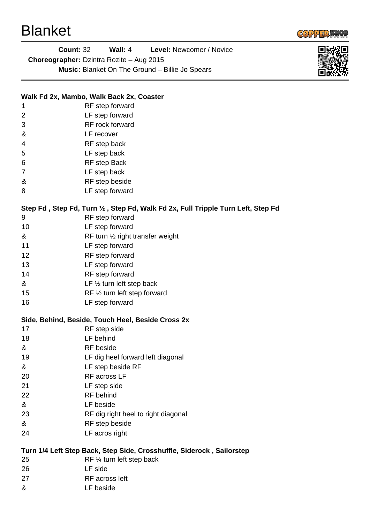

**Count:** 32 **Wall:** 4 **Level:** Newcomer / Novice **Choreographer:** Dzintra Rozite – Aug 2015 **Music:** Blanket On The Ground – Billie Jo Spears



## **Walk Fd 2x, Mambo, Walk Back 2x, Coaster**

- 1 RF step forward
- 2 LF step forward 3 RF rock forward
- & LF recover
- 4 RF step back
- 5 LF step back
- 6 RF step Back
- 7 LF step back
- & RF step beside
- 8 LF step forward

## **Step Fd , Step Fd, Turn ½ , Step Fd, Walk Fd 2x, Full Tripple Turn Left, Step Fd**

- 9 RF step forward
- 10 LF step forward
- & RF turn ½ right transfer weight
- 11 LF step forward
- 12 RF step forward
- 13 LF step forward
- 14 RF step forward
- & LF ½ turn left step back
- 15 RF 1/2 turn left step forward
- 16 LF step forward

## **Side, Behind, Beside, Touch Heel, Beside Cross 2x**

- 17 RF step side
- 18 LF behind
- & RF beside
- 19 LF dig heel forward left diagonal
- & LF step beside RF
- 20 RF across LF
- 21 LF step side
- 22 RF behind
- & LF beside
- 23 RF dig right heel to right diagonal
- & RF step beside
- 24 LF acros right

## **Turn 1/4 Left Step Back, Step Side, Crosshuffle, Siderock , Sailorstep**

- 25 RF ¼ turn left step back
- 26 LF side
- 27 RF across left
- & LF beside